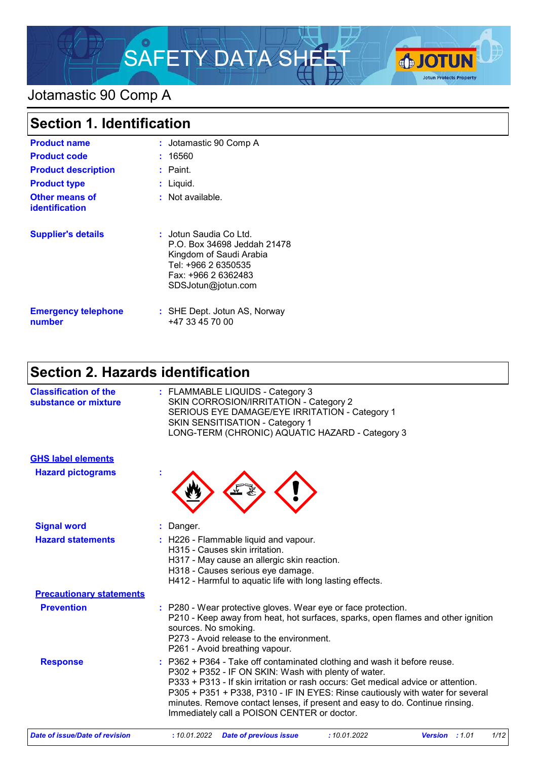

# Jotamastic 90 Comp A

| <b>Section 1. Identification</b>        |                                                                                                                                                      |  |
|-----------------------------------------|------------------------------------------------------------------------------------------------------------------------------------------------------|--|
| <b>Product name</b>                     | : Jotamastic 90 Comp A                                                                                                                               |  |
| <b>Product code</b>                     | : 16560                                                                                                                                              |  |
| <b>Product description</b>              | $:$ Paint.                                                                                                                                           |  |
| <b>Product type</b>                     | : Liquid.                                                                                                                                            |  |
| Other means of<br><b>identification</b> | : Not available.                                                                                                                                     |  |
| <b>Supplier's details</b>               | : Jotun Saudia Co Ltd.<br>P.O. Box 34698 Jeddah 21478<br>Kingdom of Saudi Arabia<br>Tel: +966 2 6350535<br>Fax: +966 2 6362483<br>SDSJotun@jotun.com |  |
| <b>Emergency telephone</b><br>number    | : SHE Dept. Jotun AS, Norway<br>+47 33 45 70 00                                                                                                      |  |

# **Section 2. Hazards identification**

| <b>Classification of the</b><br>: FLAMMABLE LIQUIDS - Category 3<br>SKIN CORROSION/IRRITATION - Category 2<br>substance or mixture<br>SERIOUS EYE DAMAGE/EYE IRRITATION - Category 1<br>SKIN SENSITISATION - Category 1<br>LONG-TERM (CHRONIC) AQUATIC HAZARD - Category 3<br><b>GHS label elements</b><br><b>Hazard pictograms</b><br><b>Signal word</b><br>: Danger.<br><b>Hazard statements</b><br>: H226 - Flammable liquid and vapour.<br>H315 - Causes skin irritation.<br>H317 - May cause an allergic skin reaction.<br>H318 - Causes serious eye damage.<br>H412 - Harmful to aquatic life with long lasting effects.<br><b>Precautionary statements</b><br><b>Prevention</b><br>: P280 - Wear protective gloves. Wear eye or face protection.<br>sources. No smoking.<br>P273 - Avoid release to the environment.<br>P261 - Avoid breathing vapour.<br>: P362 + P364 - Take off contaminated clothing and wash it before reuse.<br><b>Response</b><br>P302 + P352 - IF ON SKIN: Wash with plenty of water.<br>minutes. Remove contact lenses, if present and easy to do. Continue rinsing.<br>Immediately call a POISON CENTER or doctor. |                                                                                                                                                                     |  |  |
|-----------------------------------------------------------------------------------------------------------------------------------------------------------------------------------------------------------------------------------------------------------------------------------------------------------------------------------------------------------------------------------------------------------------------------------------------------------------------------------------------------------------------------------------------------------------------------------------------------------------------------------------------------------------------------------------------------------------------------------------------------------------------------------------------------------------------------------------------------------------------------------------------------------------------------------------------------------------------------------------------------------------------------------------------------------------------------------------------------------------------------------------------------|---------------------------------------------------------------------------------------------------------------------------------------------------------------------|--|--|
|                                                                                                                                                                                                                                                                                                                                                                                                                                                                                                                                                                                                                                                                                                                                                                                                                                                                                                                                                                                                                                                                                                                                                     |                                                                                                                                                                     |  |  |
|                                                                                                                                                                                                                                                                                                                                                                                                                                                                                                                                                                                                                                                                                                                                                                                                                                                                                                                                                                                                                                                                                                                                                     |                                                                                                                                                                     |  |  |
|                                                                                                                                                                                                                                                                                                                                                                                                                                                                                                                                                                                                                                                                                                                                                                                                                                                                                                                                                                                                                                                                                                                                                     |                                                                                                                                                                     |  |  |
|                                                                                                                                                                                                                                                                                                                                                                                                                                                                                                                                                                                                                                                                                                                                                                                                                                                                                                                                                                                                                                                                                                                                                     |                                                                                                                                                                     |  |  |
|                                                                                                                                                                                                                                                                                                                                                                                                                                                                                                                                                                                                                                                                                                                                                                                                                                                                                                                                                                                                                                                                                                                                                     |                                                                                                                                                                     |  |  |
|                                                                                                                                                                                                                                                                                                                                                                                                                                                                                                                                                                                                                                                                                                                                                                                                                                                                                                                                                                                                                                                                                                                                                     |                                                                                                                                                                     |  |  |
|                                                                                                                                                                                                                                                                                                                                                                                                                                                                                                                                                                                                                                                                                                                                                                                                                                                                                                                                                                                                                                                                                                                                                     | P210 - Keep away from heat, hot surfaces, sparks, open flames and other ignition                                                                                    |  |  |
|                                                                                                                                                                                                                                                                                                                                                                                                                                                                                                                                                                                                                                                                                                                                                                                                                                                                                                                                                                                                                                                                                                                                                     | P333 + P313 - If skin irritation or rash occurs: Get medical advice or attention.<br>P305 + P351 + P338, P310 - IF IN EYES: Rinse cautiously with water for several |  |  |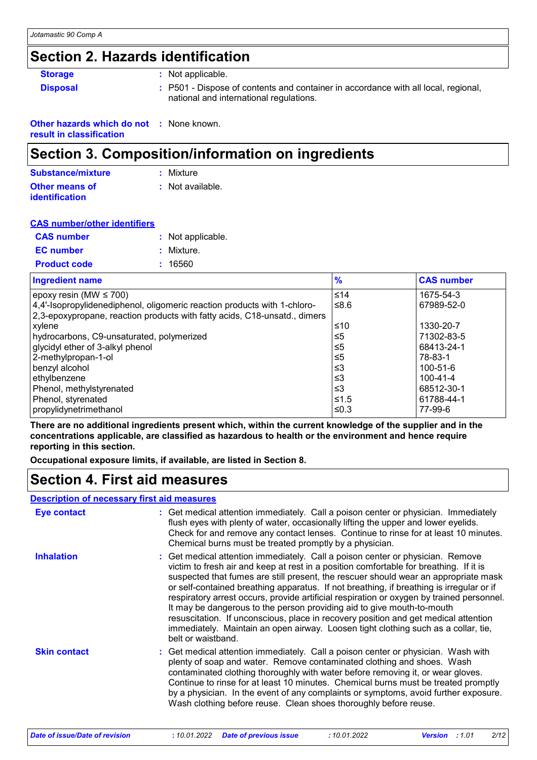## **Section 2. Hazards identification**

| <b>Storage</b>  | : Not applicable.                                                                                                             |
|-----------------|-------------------------------------------------------------------------------------------------------------------------------|
| <b>Disposal</b> | : P501 - Dispose of contents and container in accordance with all local, regional,<br>national and international regulations. |

| <b>Other hazards which do not : None known.</b> |  |
|-------------------------------------------------|--|
| result in classification                        |  |

## **Section 3. Composition/information on ingredients**

| Substance/mixture     | : Mixture        |
|-----------------------|------------------|
| <b>Other means of</b> | : Not available. |
| <b>identification</b> |                  |

| <b>CAS number/other identifiers</b> |  |                   |
|-------------------------------------|--|-------------------|
| <b>CAS number</b>                   |  | : Not applicable. |
| <b>EC</b> number                    |  | : Mixture.        |
| <b>Product code</b>                 |  | : 16560           |

| <b>Ingredient name</b>                                                    | $\frac{9}{6}$ | <b>CAS number</b> |
|---------------------------------------------------------------------------|---------------|-------------------|
| epoxy resin (MW $\leq$ 700)                                               | $≤14$         | 1675-54-3         |
| 4,4'-Isopropylidenediphenol, oligomeric reaction products with 1-chloro-  | ≤ $8.6$       | 67989-52-0        |
| 2,3-epoxypropane, reaction products with fatty acids, C18-unsatd., dimers |               |                   |
| xylene                                                                    | ≤10           | 1330-20-7         |
| hydrocarbons, C9-unsaturated, polymerized                                 | ≤5            | 71302-83-5        |
| glycidyl ether of 3-alkyl phenol                                          | ≤5            | 68413-24-1        |
| 2-methylpropan-1-ol                                                       | ≤5            | 78-83-1           |
| benzyl alcohol                                                            | ≤3            | 100-51-6          |
| ethylbenzene                                                              | ≤3            | $100 - 41 - 4$    |
| Phenol, methylstyrenated                                                  | ≤3            | 68512-30-1        |
| Phenol, styrenated                                                        | $≤1.5$        | 61788-44-1        |
| propylidynetrimethanol                                                    | ≤0.3          | 77-99-6           |

**There are no additional ingredients present which, within the current knowledge of the supplier and in the concentrations applicable, are classified as hazardous to health or the environment and hence require reporting in this section.**

**Occupational exposure limits, if available, are listed in Section 8.**

# **Section 4. First aid measures**

### **Description of necessary first aid measures**

| Eye contact         | : Get medical attention immediately. Call a poison center or physician. Immediately<br>flush eyes with plenty of water, occasionally lifting the upper and lower eyelids.<br>Check for and remove any contact lenses. Continue to rinse for at least 10 minutes.<br>Chemical burns must be treated promptly by a physician.                                                                                                                                                                                                                                                                                                                                                                                                           |
|---------------------|---------------------------------------------------------------------------------------------------------------------------------------------------------------------------------------------------------------------------------------------------------------------------------------------------------------------------------------------------------------------------------------------------------------------------------------------------------------------------------------------------------------------------------------------------------------------------------------------------------------------------------------------------------------------------------------------------------------------------------------|
| <b>Inhalation</b>   | : Get medical attention immediately. Call a poison center or physician. Remove<br>victim to fresh air and keep at rest in a position comfortable for breathing. If it is<br>suspected that fumes are still present, the rescuer should wear an appropriate mask<br>or self-contained breathing apparatus. If not breathing, if breathing is irregular or if<br>respiratory arrest occurs, provide artificial respiration or oxygen by trained personnel.<br>It may be dangerous to the person providing aid to give mouth-to-mouth<br>resuscitation. If unconscious, place in recovery position and get medical attention<br>immediately. Maintain an open airway. Loosen tight clothing such as a collar, tie,<br>belt or waistband. |
| <b>Skin contact</b> | : Get medical attention immediately. Call a poison center or physician. Wash with<br>plenty of soap and water. Remove contaminated clothing and shoes. Wash<br>contaminated clothing thoroughly with water before removing it, or wear gloves.<br>Continue to rinse for at least 10 minutes. Chemical burns must be treated promptly<br>by a physician. In the event of any complaints or symptoms, avoid further exposure.<br>Wash clothing before reuse. Clean shoes thoroughly before reuse.                                                                                                                                                                                                                                       |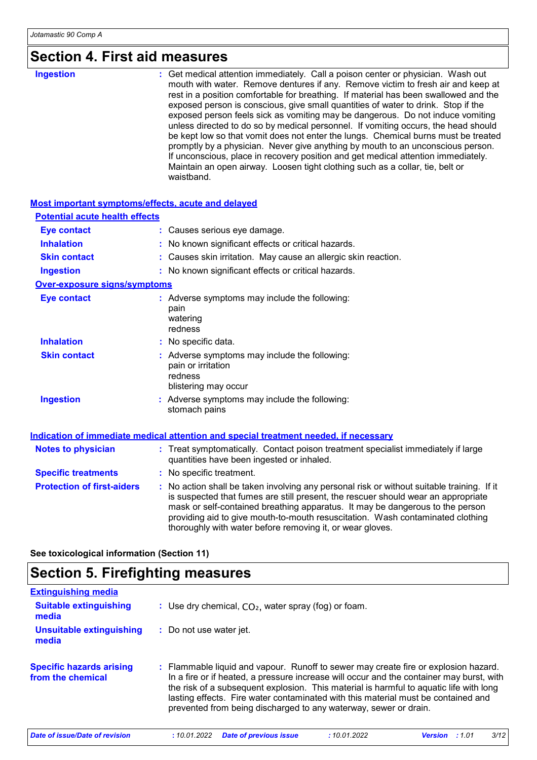# **Section 4. First aid measures**

| waistband. |
|------------|
|------------|

### **Most important symptoms/effects, acute and delayed**

| <b>Potential acute health effects</b> |                                                                                                                                                                                                                                                                                                                                                                                                                 |  |  |  |
|---------------------------------------|-----------------------------------------------------------------------------------------------------------------------------------------------------------------------------------------------------------------------------------------------------------------------------------------------------------------------------------------------------------------------------------------------------------------|--|--|--|
| <b>Eye contact</b>                    | : Causes serious eye damage.                                                                                                                                                                                                                                                                                                                                                                                    |  |  |  |
| <b>Inhalation</b>                     | : No known significant effects or critical hazards.                                                                                                                                                                                                                                                                                                                                                             |  |  |  |
| <b>Skin contact</b>                   | : Causes skin irritation. May cause an allergic skin reaction.                                                                                                                                                                                                                                                                                                                                                  |  |  |  |
| <b>Ingestion</b>                      | : No known significant effects or critical hazards.                                                                                                                                                                                                                                                                                                                                                             |  |  |  |
| <b>Over-exposure signs/symptoms</b>   |                                                                                                                                                                                                                                                                                                                                                                                                                 |  |  |  |
| <b>Eye contact</b>                    | : Adverse symptoms may include the following:<br>pain<br>watering<br>redness                                                                                                                                                                                                                                                                                                                                    |  |  |  |
| <b>Inhalation</b>                     | : No specific data.                                                                                                                                                                                                                                                                                                                                                                                             |  |  |  |
| <b>Skin contact</b>                   | : Adverse symptoms may include the following:<br>pain or irritation<br>redness<br>blistering may occur                                                                                                                                                                                                                                                                                                          |  |  |  |
| <b>Ingestion</b>                      | : Adverse symptoms may include the following:<br>stomach pains                                                                                                                                                                                                                                                                                                                                                  |  |  |  |
|                                       | <b>Indication of immediate medical attention and special treatment needed, if necessary</b>                                                                                                                                                                                                                                                                                                                     |  |  |  |
| <b>Notes to physician</b>             | : Treat symptomatically. Contact poison treatment specialist immediately if large<br>quantities have been ingested or inhaled.                                                                                                                                                                                                                                                                                  |  |  |  |
| <b>Specific treatments</b>            | : No specific treatment.                                                                                                                                                                                                                                                                                                                                                                                        |  |  |  |
| <b>Protection of first-aiders</b>     | : No action shall be taken involving any personal risk or without suitable training. If it<br>is suspected that fumes are still present, the rescuer should wear an appropriate<br>mask or self-contained breathing apparatus. It may be dangerous to the person<br>providing aid to give mouth-to-mouth resuscitation. Wash contaminated clothing<br>thoroughly with water before removing it, or wear gloves. |  |  |  |

**See toxicological information (Section 11)**

# **Section 5. Firefighting measures**

| <b>Extinguishing media</b>                           |                         |                                                                                                                                                                                                                                                                                                                                                                                                                                    |             |                |        |      |
|------------------------------------------------------|-------------------------|------------------------------------------------------------------------------------------------------------------------------------------------------------------------------------------------------------------------------------------------------------------------------------------------------------------------------------------------------------------------------------------------------------------------------------|-------------|----------------|--------|------|
| <b>Suitable extinguishing</b><br>media               |                         | : Use dry chemical, $CO2$ , water spray (fog) or foam.                                                                                                                                                                                                                                                                                                                                                                             |             |                |        |      |
| <b>Unsuitable extinguishing</b><br>media             | : Do not use water jet. |                                                                                                                                                                                                                                                                                                                                                                                                                                    |             |                |        |      |
| <b>Specific hazards arising</b><br>from the chemical |                         | : Flammable liquid and vapour. Runoff to sewer may create fire or explosion hazard.<br>In a fire or if heated, a pressure increase will occur and the container may burst, with<br>the risk of a subsequent explosion. This material is harmful to aquatic life with long<br>lasting effects. Fire water contaminated with this material must be contained and<br>prevented from being discharged to any waterway, sewer or drain. |             |                |        |      |
| Date of issue/Date of revision                       | :10.01.2022             | <b>Date of previous issue</b>                                                                                                                                                                                                                                                                                                                                                                                                      | :10.01.2022 | <b>Version</b> | : 1.01 | 3/12 |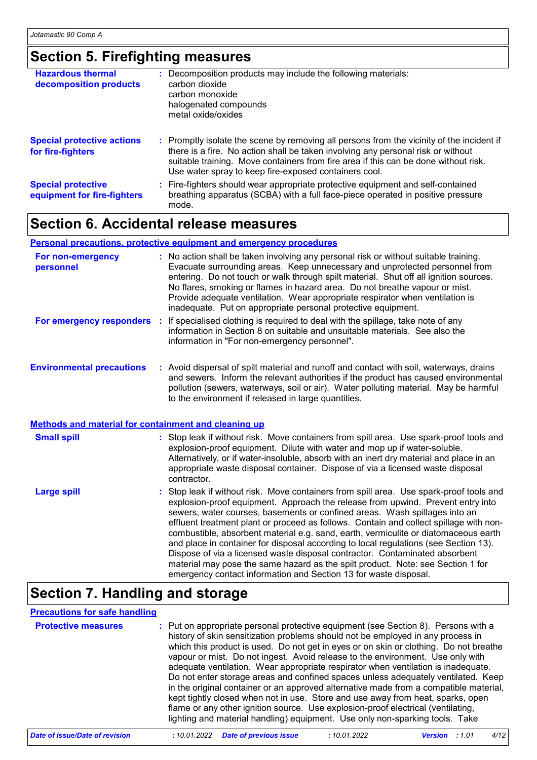## **Section 5. Firefighting measures**

| <b>Hazardous thermal</b><br>decomposition products       | : Decomposition products may include the following materials:<br>carbon dioxide<br>carbon monoxide<br>halogenated compounds<br>metal oxide/oxides                                                                                                                                                                             |
|----------------------------------------------------------|-------------------------------------------------------------------------------------------------------------------------------------------------------------------------------------------------------------------------------------------------------------------------------------------------------------------------------|
| <b>Special protective actions</b><br>for fire-fighters   | : Promptly isolate the scene by removing all persons from the vicinity of the incident if<br>there is a fire. No action shall be taken involving any personal risk or without<br>suitable training. Move containers from fire area if this can be done without risk.<br>Use water spray to keep fire-exposed containers cool. |
| <b>Special protective</b><br>equipment for fire-fighters | : Fire-fighters should wear appropriate protective equipment and self-contained<br>breathing apparatus (SCBA) with a full face-piece operated in positive pressure<br>mode.                                                                                                                                                   |

## **Section 6. Accidental release measures**

#### **Personal precautions, protective equipment and emergency procedures**

| For non-emergency<br>personnel                              | : No action shall be taken involving any personal risk or without suitable training.<br>Evacuate surrounding areas. Keep unnecessary and unprotected personnel from<br>entering. Do not touch or walk through spilt material. Shut off all ignition sources.<br>No flares, smoking or flames in hazard area. Do not breathe vapour or mist.<br>Provide adequate ventilation. Wear appropriate respirator when ventilation is<br>inadequate. Put on appropriate personal protective equipment. |
|-------------------------------------------------------------|-----------------------------------------------------------------------------------------------------------------------------------------------------------------------------------------------------------------------------------------------------------------------------------------------------------------------------------------------------------------------------------------------------------------------------------------------------------------------------------------------|
| For emergency responders                                    | : If specialised clothing is required to deal with the spillage, take note of any<br>information in Section 8 on suitable and unsuitable materials. See also the<br>information in "For non-emergency personnel".                                                                                                                                                                                                                                                                             |
| <b>Environmental precautions</b>                            | : Avoid dispersal of spilt material and runoff and contact with soil, waterways, drains<br>and sewers. Inform the relevant authorities if the product has caused environmental<br>pollution (sewers, waterways, soil or air). Water polluting material. May be harmful<br>to the environment if released in large quantities.                                                                                                                                                                 |
| <b>Methods and material for containment and cleaning up</b> |                                                                                                                                                                                                                                                                                                                                                                                                                                                                                               |
| <b>Small spill</b>                                          | : Stop leak if without risk. Move containers from spill area. Use spark-proof tools and<br>explosion-proof equipment. Dilute with water and mop up if water-soluble.<br>Alternatively, or if water-insoluble, absorb with an inert dry material and place in an<br>appropriate waste disposal container. Dispose of via a licensed waste disposal<br>contractor.                                                                                                                              |
| <b>The Second Section</b>                                   | . . Otan laak if without siak . Mouse aantainang franc anill anga . Haa anguly nyaaf taala grad                                                                                                                                                                                                                                                                                                                                                                                               |

Stop leak if without risk. Move containers from spill area. Use spark-proof tools and explosion-proof equipment. Approach the release from upwind. Prevent entry into sewers, water courses, basements or confined areas. Wash spillages into an effluent treatment plant or proceed as follows. Contain and collect spillage with noncombustible, absorbent material e.g. sand, earth, vermiculite or diatomaceous earth and place in container for disposal according to local regulations (see Section 13). Dispose of via a licensed waste disposal contractor. Contaminated absorbent material may pose the same hazard as the spilt product. Note: see Section 1 for emergency contact information and Section 13 for waste disposal. **Large spill :**

## **Section 7. Handling and storage**

### **Precautions for safe handling**

| <b>Protective measures</b> | : Put on appropriate personal protective equipment (see Section 8). Persons with a<br>history of skin sensitization problems should not be employed in any process in<br>which this product is used. Do not get in eyes or on skin or clothing. Do not breathe<br>vapour or mist. Do not ingest. Avoid release to the environment. Use only with<br>adequate ventilation. Wear appropriate respirator when ventilation is inadequate.<br>Do not enter storage areas and confined spaces unless adequately ventilated. Keep<br>in the original container or an approved alternative made from a compatible material,<br>kept tightly closed when not in use. Store and use away from heat, sparks, open<br>flame or any other ignition source. Use explosion-proof electrical (ventilating,<br>lighting and material handling) equipment. Use only non-sparking tools. Take |
|----------------------------|----------------------------------------------------------------------------------------------------------------------------------------------------------------------------------------------------------------------------------------------------------------------------------------------------------------------------------------------------------------------------------------------------------------------------------------------------------------------------------------------------------------------------------------------------------------------------------------------------------------------------------------------------------------------------------------------------------------------------------------------------------------------------------------------------------------------------------------------------------------------------|
|----------------------------|----------------------------------------------------------------------------------------------------------------------------------------------------------------------------------------------------------------------------------------------------------------------------------------------------------------------------------------------------------------------------------------------------------------------------------------------------------------------------------------------------------------------------------------------------------------------------------------------------------------------------------------------------------------------------------------------------------------------------------------------------------------------------------------------------------------------------------------------------------------------------|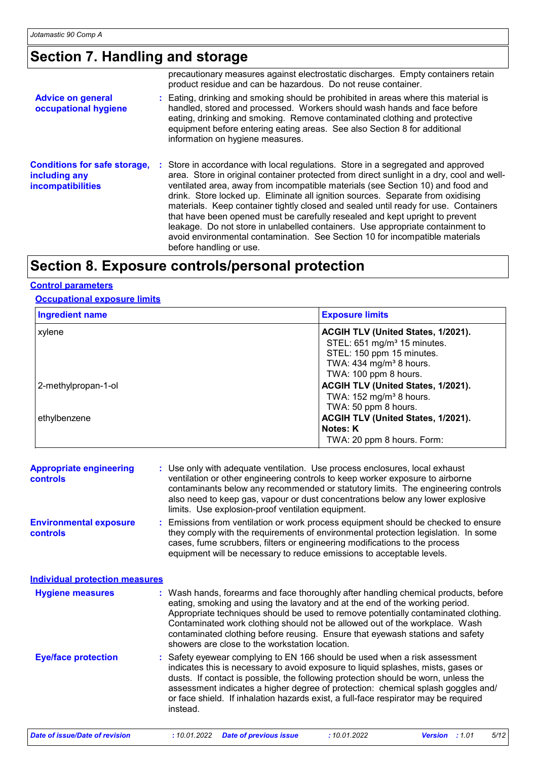## **Section 7. Handling and storage**

|                                                                                  | precautionary measures against electrostatic discharges. Empty containers retain<br>product residue and can be hazardous. Do not reuse container.                                                                                                                                                                                                                                                                                                                                                                                                                                                                                                                                                                       |  |  |  |
|----------------------------------------------------------------------------------|-------------------------------------------------------------------------------------------------------------------------------------------------------------------------------------------------------------------------------------------------------------------------------------------------------------------------------------------------------------------------------------------------------------------------------------------------------------------------------------------------------------------------------------------------------------------------------------------------------------------------------------------------------------------------------------------------------------------------|--|--|--|
| <b>Advice on general</b><br>occupational hygiene                                 | : Eating, drinking and smoking should be prohibited in areas where this material is<br>handled, stored and processed. Workers should wash hands and face before<br>eating, drinking and smoking. Remove contaminated clothing and protective<br>equipment before entering eating areas. See also Section 8 for additional<br>information on hygiene measures.                                                                                                                                                                                                                                                                                                                                                           |  |  |  |
| <b>Conditions for safe storage,</b><br>including any<br><b>incompatibilities</b> | : Store in accordance with local regulations. Store in a segregated and approved<br>area. Store in original container protected from direct sunlight in a dry, cool and well-<br>ventilated area, away from incompatible materials (see Section 10) and food and<br>drink. Store locked up. Eliminate all ignition sources. Separate from oxidising<br>materials. Keep container tightly closed and sealed until ready for use. Containers<br>that have been opened must be carefully resealed and kept upright to prevent<br>leakage. Do not store in unlabelled containers. Use appropriate containment to<br>avoid environmental contamination. See Section 10 for incompatible materials<br>before handling or use. |  |  |  |

## **Section 8. Exposure controls/personal protection**

### **Control parameters**

### **Occupational exposure limits**

| <b>Ingredient name</b>              | <b>Exposure limits</b>                                                                                                                                                            |
|-------------------------------------|-----------------------------------------------------------------------------------------------------------------------------------------------------------------------------------|
| xylene                              | ACGIH TLV (United States, 1/2021).<br>STEL: 651 mg/m <sup>3</sup> 15 minutes.<br>STEL: 150 ppm 15 minutes.<br>TWA: $434$ mg/m <sup>3</sup> 8 hours.<br>TWA: 100 ppm 8 hours.      |
| 2-methylpropan-1-ol<br>ethylbenzene | ACGIH TLV (United States, 1/2021).<br>TWA: 152 mg/m <sup>3</sup> 8 hours.<br>TWA: 50 ppm 8 hours.<br>ACGIH TLV (United States, 1/2021).<br>Notes: K<br>TWA: 20 ppm 8 hours. Form: |

| <b>Appropriate engineering</b><br><b>controls</b> |  | : Use only with adequate ventilation. Use process enclosures, local exhaust<br>ventilation or other engineering controls to keep worker exposure to airborne<br>contaminants below any recommended or statutory limits. The engineering controls<br>also need to keep gas, vapour or dust concentrations below any lower explosive<br>limits. Use explosion-proof ventilation equipment. |
|---------------------------------------------------|--|------------------------------------------------------------------------------------------------------------------------------------------------------------------------------------------------------------------------------------------------------------------------------------------------------------------------------------------------------------------------------------------|
| <b>Environmental exposure</b><br><b>controls</b>  |  | : Emissions from ventilation or work process equipment should be checked to ensure<br>they comply with the requirements of environmental protection legislation. In some<br>cases, fume scrubbers, filters or engineering modifications to the process<br>equipment will be necessary to reduce emissions to acceptable levels.                                                          |
| <b>Individual protection measures</b>             |  |                                                                                                                                                                                                                                                                                                                                                                                          |
| <b>Hygiene measures</b>                           |  | : Wash hands, forearms and face thoroughly after handling chemical products, before<br>eating, smoking and using the lavatory and at the end of the working period.<br>Appropriate techniques should be used to remove potentially contaminated clothing.                                                                                                                                |

#### Safety eyewear complying to EN 166 should be used when a risk assessment indicates this is necessary to avoid exposure to liquid splashes, mists, gases or dusts. If contact is possible, the following protection should be worn, unless the assessment indicates a higher degree of protection: chemical splash goggles and/ or face shield. If inhalation hazards exist, a full-face respirator may be required instead. **Eye/face protection :** showers are close to the workstation location.

Contaminated work clothing should not be allowed out of the workplace. Wash contaminated clothing before reusing. Ensure that eyewash stations and safety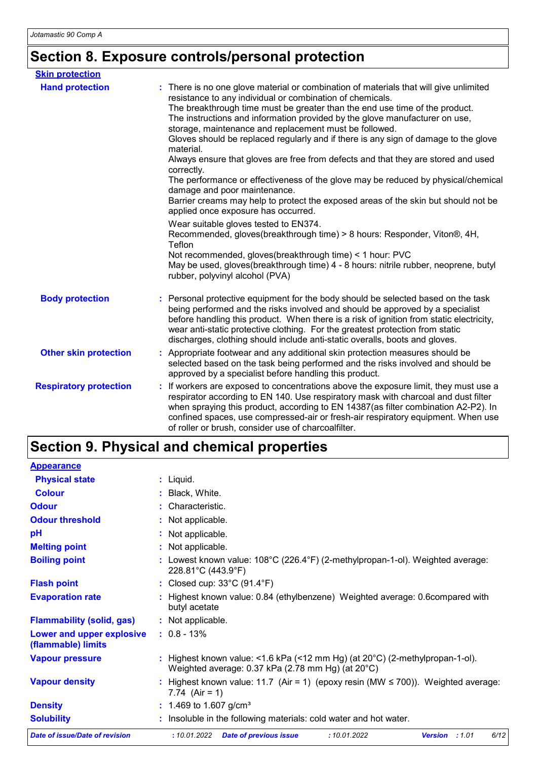# **Section 8. Exposure controls/personal protection**

| <b>Skin protection</b>        |                                                                                                                                                                                                                                                                                                                                                                                                                                                                                                                                                                                                                                                                                                                                                                                                                                                                                                                                                          |
|-------------------------------|----------------------------------------------------------------------------------------------------------------------------------------------------------------------------------------------------------------------------------------------------------------------------------------------------------------------------------------------------------------------------------------------------------------------------------------------------------------------------------------------------------------------------------------------------------------------------------------------------------------------------------------------------------------------------------------------------------------------------------------------------------------------------------------------------------------------------------------------------------------------------------------------------------------------------------------------------------|
| <b>Hand protection</b>        | : There is no one glove material or combination of materials that will give unlimited<br>resistance to any individual or combination of chemicals.<br>The breakthrough time must be greater than the end use time of the product.<br>The instructions and information provided by the glove manufacturer on use,<br>storage, maintenance and replacement must be followed.<br>Gloves should be replaced regularly and if there is any sign of damage to the glove<br>material.<br>Always ensure that gloves are free from defects and that they are stored and used<br>correctly.<br>The performance or effectiveness of the glove may be reduced by physical/chemical<br>damage and poor maintenance.<br>Barrier creams may help to protect the exposed areas of the skin but should not be<br>applied once exposure has occurred.<br>Wear suitable gloves tested to EN374.<br>Recommended, gloves(breakthrough time) > 8 hours: Responder, Viton®, 4H, |
|                               | Teflon<br>Not recommended, gloves(breakthrough time) < 1 hour: PVC<br>May be used, gloves(breakthrough time) 4 - 8 hours: nitrile rubber, neoprene, butyl<br>rubber, polyvinyl alcohol (PVA)                                                                                                                                                                                                                                                                                                                                                                                                                                                                                                                                                                                                                                                                                                                                                             |
| <b>Body protection</b>        | Personal protective equipment for the body should be selected based on the task<br>being performed and the risks involved and should be approved by a specialist<br>before handling this product. When there is a risk of ignition from static electricity,<br>wear anti-static protective clothing. For the greatest protection from static<br>discharges, clothing should include anti-static overalls, boots and gloves.                                                                                                                                                                                                                                                                                                                                                                                                                                                                                                                              |
| <b>Other skin protection</b>  | Appropriate footwear and any additional skin protection measures should be<br>selected based on the task being performed and the risks involved and should be<br>approved by a specialist before handling this product.                                                                                                                                                                                                                                                                                                                                                                                                                                                                                                                                                                                                                                                                                                                                  |
| <b>Respiratory protection</b> | If workers are exposed to concentrations above the exposure limit, they must use a<br>respirator according to EN 140. Use respiratory mask with charcoal and dust filter<br>when spraying this product, according to EN 14387(as filter combination A2-P2). In<br>confined spaces, use compressed-air or fresh-air respiratory equipment. When use<br>of roller or brush, consider use of charcoalfilter.                                                                                                                                                                                                                                                                                                                                                                                                                                                                                                                                                |

# **Section 9. Physical and chemical properties**

| <b>Appearance</b>                               |                                                                                                                                             |  |  |  |  |  |
|-------------------------------------------------|---------------------------------------------------------------------------------------------------------------------------------------------|--|--|--|--|--|
| <b>Physical state</b>                           | : Liquid.                                                                                                                                   |  |  |  |  |  |
| <b>Colour</b>                                   | : Black, White.                                                                                                                             |  |  |  |  |  |
| <b>Odour</b>                                    | : Characteristic.                                                                                                                           |  |  |  |  |  |
| <b>Odour threshold</b>                          | : Not applicable.                                                                                                                           |  |  |  |  |  |
| pH                                              | : Not applicable.                                                                                                                           |  |  |  |  |  |
| <b>Melting point</b>                            | : Not applicable.                                                                                                                           |  |  |  |  |  |
| <b>Boiling point</b>                            | : Lowest known value: $108^{\circ}$ C (226.4 $^{\circ}$ F) (2-methylpropan-1-ol). Weighted average:<br>228.81°C (443.9°F)                   |  |  |  |  |  |
| <b>Flash point</b>                              | : Closed cup: $33^{\circ}$ C (91.4 $^{\circ}$ F)                                                                                            |  |  |  |  |  |
| <b>Evaporation rate</b>                         | : Highest known value: 0.84 (ethylbenzene) Weighted average: 0.6compared with<br>butyl acetate                                              |  |  |  |  |  |
| <b>Flammability (solid, gas)</b>                | : Not applicable.                                                                                                                           |  |  |  |  |  |
| Lower and upper explosive<br>(flammable) limits | $: 0.8 - 13\%$                                                                                                                              |  |  |  |  |  |
| <b>Vapour pressure</b>                          | : Highest known value: <1.6 kPa (<12 mm Hg) (at $20^{\circ}$ C) (2-methylpropan-1-ol).<br>Weighted average: 0.37 kPa (2.78 mm Hg) (at 20°C) |  |  |  |  |  |
| <b>Vapour density</b>                           | : Highest known value: 11.7 (Air = 1) (epoxy resin (MW $\leq$ 700)). Weighted average:<br>7.74 $(Air = 1)$                                  |  |  |  |  |  |
| <b>Density</b>                                  | : 1.469 to 1.607 g/cm <sup>3</sup>                                                                                                          |  |  |  |  |  |
| <b>Solubility</b>                               | : Insoluble in the following materials: cold water and hot water.                                                                           |  |  |  |  |  |
| <b>Date of issue/Date of revision</b>           | :10.01.2022<br><b>Date of previous issue</b><br>:10.01.2022<br>Version : 1.01<br>6/12                                                       |  |  |  |  |  |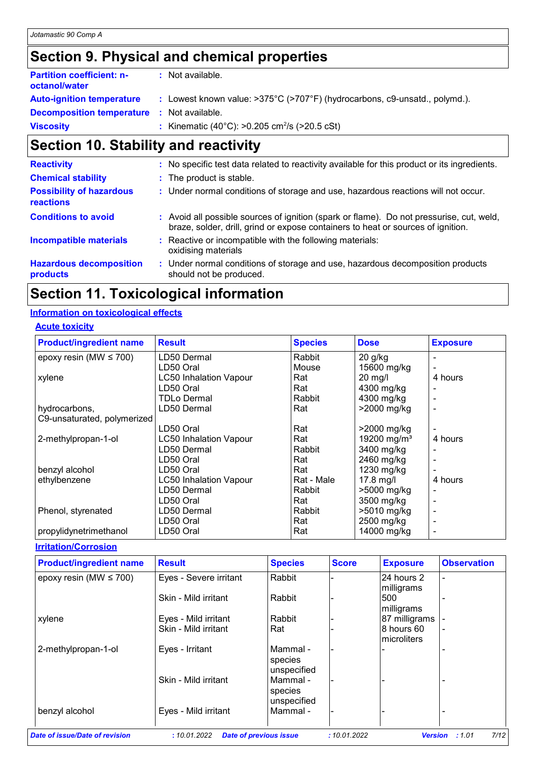# **Section 9. Physical and chemical properties**

| <b>Partition coefficient: n-</b><br>octanol/water | : Not available.                                                                                |
|---------------------------------------------------|-------------------------------------------------------------------------------------------------|
| <b>Auto-ignition temperature</b>                  | : Lowest known value: $>375^{\circ}$ C ( $>707^{\circ}$ F) (hydrocarbons, c9-unsatd., polymd.). |
| <b>Decomposition temperature : Not available.</b> |                                                                                                 |
| <b>Viscosity</b>                                  | : Kinematic (40°C): >0.205 cm <sup>2</sup> /s (>20.5 cSt)                                       |

# **Section 10. Stability and reactivity**

| <b>Reactivity</b>                            |                     | : No specific test data related to reactivity available for this product or its ingredients.                                                                                 |
|----------------------------------------------|---------------------|------------------------------------------------------------------------------------------------------------------------------------------------------------------------------|
| <b>Chemical stability</b>                    |                     | : The product is stable.                                                                                                                                                     |
| <b>Possibility of hazardous</b><br>reactions |                     | : Under normal conditions of storage and use, hazardous reactions will not occur.                                                                                            |
| <b>Conditions to avoid</b>                   |                     | : Avoid all possible sources of ignition (spark or flame). Do not pressurise, cut, weld,<br>braze, solder, drill, grind or expose containers to heat or sources of ignition. |
| <b>Incompatible materials</b>                | oxidising materials | : Reactive or incompatible with the following materials:                                                                                                                     |
| <b>Hazardous decomposition</b><br>products   |                     | : Under normal conditions of storage and use, hazardous decomposition products<br>should not be produced.                                                                    |

# **Section 11. Toxicological information**

## **Information on toxicological effects**

## **Acute toxicity**

| <b>Product/ingredient name</b> | <b>Result</b>                 | <b>Species</b> | <b>Dose</b>             | <b>Exposure</b> |
|--------------------------------|-------------------------------|----------------|-------------------------|-----------------|
| epoxy resin (MW $\leq$ 700)    | LD50 Dermal                   | Rabbit         | $20$ g/kg               |                 |
|                                | LD50 Oral                     | Mouse          | 15600 mg/kg             |                 |
| xylene                         | <b>LC50 Inhalation Vapour</b> | Rat            | $20$ mg/l               | 4 hours         |
|                                | LD50 Oral                     | Rat            | 4300 mg/kg              |                 |
|                                | <b>TDLo Dermal</b>            | Rabbit         | 4300 mg/kg              |                 |
| hydrocarbons,                  | LD50 Dermal                   | Rat            | >2000 mg/kg             |                 |
| C9-unsaturated, polymerized    |                               |                |                         |                 |
|                                | LD50 Oral                     | Rat            | $>2000$ mg/kg           |                 |
| 2-methylpropan-1-ol            | <b>LC50 Inhalation Vapour</b> | Rat            | 19200 mg/m <sup>3</sup> | 4 hours         |
|                                | LD50 Dermal                   | Rabbit         | 3400 mg/kg              |                 |
|                                | LD50 Oral                     | Rat            | 2460 mg/kg              |                 |
| benzyl alcohol                 | LD50 Oral                     | Rat            | 1230 mg/kg              |                 |
| ethylbenzene                   | <b>LC50 Inhalation Vapour</b> | Rat - Male     | $17.8$ mg/l             | 4 hours         |
|                                | LD50 Dermal                   | Rabbit         | >5000 mg/kg             |                 |
|                                | LD50 Oral                     | Rat            | 3500 mg/kg              |                 |
| Phenol, styrenated             | LD50 Dermal                   | Rabbit         | >5010 mg/kg             |                 |
|                                | LD50 Oral                     | Rat            | 2500 mg/kg              |                 |
| propylidynetrimethanol         | LD50 Oral                     | Rat            | 14000 mg/kg             |                 |

**Irritation/Corrosion**

| <b>Product/ingredient name</b> | <b>Result</b>          | <b>Species</b>                     | <b>Score</b> | <b>Exposure</b>                   | <b>Observation</b> |
|--------------------------------|------------------------|------------------------------------|--------------|-----------------------------------|--------------------|
| epoxy resin (MW $\leq$ 700)    | Eyes - Severe irritant | Rabbit                             |              | 24 hours 2<br>milligrams          |                    |
|                                | Skin - Mild irritant   | Rabbit                             |              | 500<br>milligrams                 |                    |
| xylene                         | Eyes - Mild irritant   | Rabbit                             |              | 87 milligrams                     |                    |
|                                | Skin - Mild irritant   | Rat                                |              | 8 hours 60<br><b>Imicroliters</b> |                    |
| 2-methylpropan-1-ol            | Eyes - Irritant        | Mammal -<br>species<br>unspecified |              |                                   |                    |
|                                | Skin - Mild irritant   | Mammal -<br>species<br>unspecified |              |                                   |                    |
| benzyl alcohol                 | Eyes - Mild irritant   | Mammal -                           |              |                                   |                    |
| Date of issue/Date of revision | :10.01.2022            | <b>Date of previous issue</b>      | :10.01.2022  | <b>Version</b>                    | 7/12<br>:1.01      |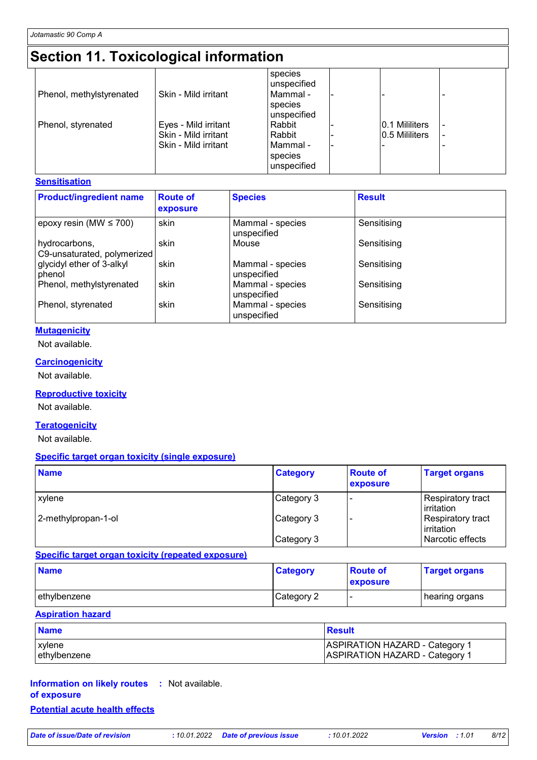# **Section 11. Toxicological information**

| Phenol, methylstyrenated | Skin - Mild irritant                                                 | species<br>unspecified<br>Mammal -<br>species<br>unspecified |                                  |  |
|--------------------------|----------------------------------------------------------------------|--------------------------------------------------------------|----------------------------------|--|
| Phenol, styrenated       | Eyes - Mild irritant<br>Skin - Mild irritant<br>Skin - Mild irritant | Rabbit<br>Rabbit<br>Mammal -<br>species<br>unspecified       | 0.1 Mililiters<br>0.5 Mililiters |  |

## **Sensitisation**

| <b>Product/ingredient name</b>               | <b>Route of</b><br>exposure | <b>Species</b>                  | <b>Result</b> |
|----------------------------------------------|-----------------------------|---------------------------------|---------------|
| epoxy resin (MW $\leq$ 700)                  | skin                        | Mammal - species<br>unspecified | Sensitising   |
| hydrocarbons,<br>C9-unsaturated, polymerized | skin                        | Mouse                           | Sensitising   |
| glycidyl ether of 3-alkyl<br>phenol          | skin                        | Mammal - species<br>unspecified | Sensitising   |
| Phenol, methylstyrenated                     | skin                        | Mammal - species<br>unspecified | Sensitising   |
| Phenol, styrenated                           | skin                        | Mammal - species<br>unspecified | Sensitising   |

## **Mutagenicity**

Not available.

### **Carcinogenicity**

Not available.

## **Reproductive toxicity**

Not available.

### **Teratogenicity**

Not available.

### **Specific target organ toxicity (single exposure)**

| <b>Name</b>         | <b>Category</b> | <b>Route of</b><br>exposure | <b>Target organs</b>                     |
|---------------------|-----------------|-----------------------------|------------------------------------------|
| <b>xylene</b>       | Category 3      |                             | Respiratory tract<br><b>l</b> irritation |
| 2-methylpropan-1-ol | Category 3      |                             | Respiratory tract<br><b>l</b> irritation |
|                     | Category 3      |                             | Narcotic effects                         |

### **Specific target organ toxicity (repeated exposure)**

| <b>Name</b>  | <b>Category</b> | <b>Route of</b><br><b>exposure</b> | <b>Target organs</b> |
|--------------|-----------------|------------------------------------|----------------------|
| ethylbenzene | Category 2      |                                    | ∣ hearing organs     |

## **Aspiration hazard**

| <b>Name</b>  | Result                                |
|--------------|---------------------------------------|
| xylene       | <b>ASPIRATION HAZARD - Category 1</b> |
| ethylbenzene | <b>ASPIRATION HAZARD - Category 1</b> |

## **Information on likely routes :** Not available. **of exposure Potential acute health effects**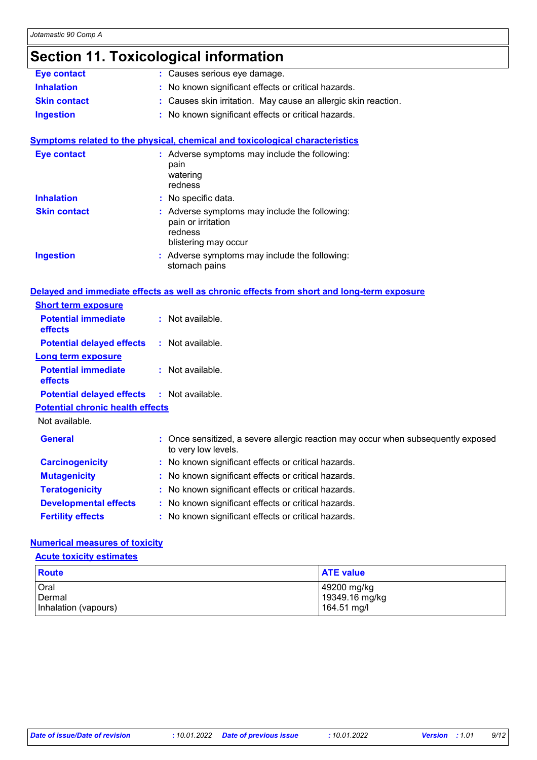# **Section 11. Toxicological information**

| <b>Eye contact</b>                      | : Causes serious eye damage.                                                                             |  |  |
|-----------------------------------------|----------------------------------------------------------------------------------------------------------|--|--|
| <b>Inhalation</b>                       | : No known significant effects or critical hazards.                                                      |  |  |
| <b>Skin contact</b>                     | : Causes skin irritation. May cause an allergic skin reaction.                                           |  |  |
| <b>Ingestion</b>                        | : No known significant effects or critical hazards.                                                      |  |  |
|                                         | <b>Symptoms related to the physical, chemical and toxicological characteristics</b>                      |  |  |
| <b>Eye contact</b>                      | : Adverse symptoms may include the following:<br>pain<br>watering<br>redness                             |  |  |
| <b>Inhalation</b>                       | : No specific data.                                                                                      |  |  |
| <b>Skin contact</b>                     | : Adverse symptoms may include the following:<br>pain or irritation<br>redness<br>blistering may occur   |  |  |
| <b>Ingestion</b>                        | : Adverse symptoms may include the following:<br>stomach pains                                           |  |  |
|                                         |                                                                                                          |  |  |
|                                         | Delayed and immediate effects as well as chronic effects from short and long-term exposure               |  |  |
| <b>Short term exposure</b>              |                                                                                                          |  |  |
| <b>Potential immediate</b><br>effects   | : Not available.                                                                                         |  |  |
| <b>Potential delayed effects</b>        | : Not available.                                                                                         |  |  |
| <b>Long term exposure</b>               |                                                                                                          |  |  |
| <b>Potential immediate</b><br>effects   | : Not available.                                                                                         |  |  |
| <b>Potential delayed effects</b>        | : Not available.                                                                                         |  |  |
| <b>Potential chronic health effects</b> |                                                                                                          |  |  |
| Not available.                          |                                                                                                          |  |  |
| <b>General</b>                          | : Once sensitized, a severe allergic reaction may occur when subsequently exposed<br>to very low levels. |  |  |
| <b>Carcinogenicity</b>                  | : No known significant effects or critical hazards.                                                      |  |  |
| <b>Mutagenicity</b>                     | : No known significant effects or critical hazards.                                                      |  |  |
| <b>Teratogenicity</b>                   | : No known significant effects or critical hazards.                                                      |  |  |
| <b>Developmental effects</b>            | : No known significant effects or critical hazards.                                                      |  |  |

## **Numerical measures of toxicity**

**Acute toxicity estimates**

| Route                | <b>ATE value</b> |
|----------------------|------------------|
| Oral                 | 49200 mg/kg      |
| Dermal               | 19349.16 mg/kg   |
| Inhalation (vapours) | 164.51 mg/l      |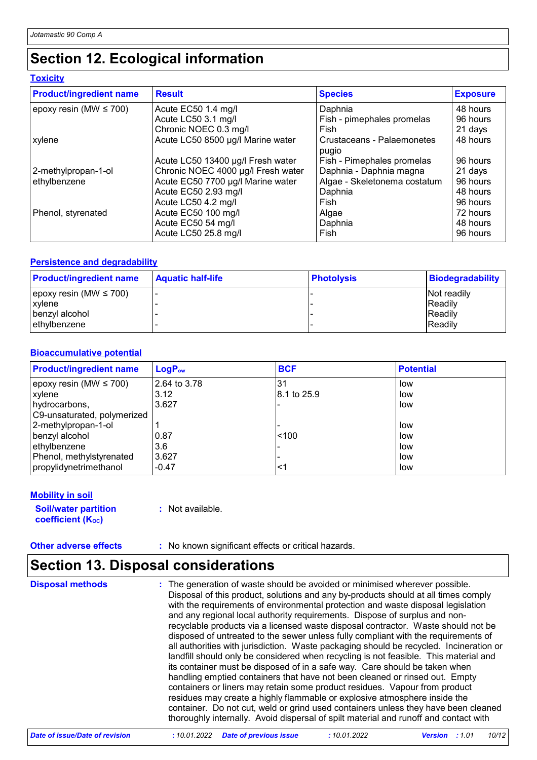# **Section 12. Ecological information**

### **Toxicity**

| <b>Product/ingredient name</b> | <b>Result</b>                      | <b>Species</b>                      | <b>Exposure</b> |
|--------------------------------|------------------------------------|-------------------------------------|-----------------|
| epoxy resin (MW $\leq$ 700)    | Acute EC50 1.4 mg/l                | Daphnia                             | 48 hours        |
|                                | Acute LC50 3.1 mg/l                | Fish - pimephales promelas          | 96 hours        |
|                                | Chronic NOEC 0.3 mg/l              | Fish                                | 21 days         |
| xylene                         | Acute LC50 8500 µg/l Marine water  | Crustaceans - Palaemonetes<br>pugio | 48 hours        |
|                                | Acute LC50 13400 µg/l Fresh water  | Fish - Pimephales promelas          | 96 hours        |
| 2-methylpropan-1-ol            | Chronic NOEC 4000 µg/l Fresh water | Daphnia - Daphnia magna             | 21 days         |
| ethylbenzene                   | Acute EC50 7700 µg/l Marine water  | Algae - Skeletonema costatum        | 96 hours        |
|                                | Acute EC50 2.93 mg/l               | Daphnia                             | 48 hours        |
|                                | Acute LC50 4.2 mg/l                | Fish                                | 96 hours        |
| Phenol, styrenated             | Acute EC50 100 mg/l                | Algae                               | 72 hours        |
|                                | Acute EC50 54 mg/l                 | Daphnia                             | 48 hours        |
|                                | Acute LC50 25.8 mg/l               | Fish                                | 96 hours        |

### **Persistence and degradability**

| <b>Product/ingredient name</b> | <b>Aquatic half-life</b> | <b>Photolysis</b> | <b>Biodegradability</b> |
|--------------------------------|--------------------------|-------------------|-------------------------|
| epoxy resin (MW $\leq$ 700)    |                          |                   | Not readily             |
| xylene                         |                          |                   | <b>IReadily</b>         |
| benzvl alcohol                 |                          |                   | <b>Readily</b>          |
| ethylbenzene                   |                          |                   | <b>Readily</b>          |

### **Bioaccumulative potential**

| <b>Product/ingredient name</b> | <b>LogPow</b> | <b>BCF</b>   | <b>Potential</b> |
|--------------------------------|---------------|--------------|------------------|
| epoxy resin (MW $\leq$ 700)    | 2.64 to 3.78  | 31           | low              |
| xylene                         | 3.12          | l8.1 to 25.9 | low              |
| hydrocarbons,                  | 3.627         |              | low              |
| C9-unsaturated, polymerized    |               |              |                  |
| 2-methylpropan-1-ol            |               |              | low              |
| benzyl alcohol                 | 0.87          | < 100        | low              |
| ethylbenzene                   | 3.6           |              | low              |
| Phenol, methylstyrenated       | 3.627         |              | low              |
| propylidynetrimethanol         | $-0.47$       | <1           | low              |

### **Mobility in soil**

**Soil/water partition coefficient (Koc)** 

**:** Not available.

**Other adverse effects** : No known significant effects or critical hazards.

# **Section 13. Disposal considerations**

The generation of waste should be avoided or minimised wherever possible. Disposal of this product, solutions and any by-products should at all times comply with the requirements of environmental protection and waste disposal legislation and any regional local authority requirements. Dispose of surplus and nonrecyclable products via a licensed waste disposal contractor. Waste should not be disposed of untreated to the sewer unless fully compliant with the requirements of all authorities with jurisdiction. Waste packaging should be recycled. Incineration or landfill should only be considered when recycling is not feasible. This material and its container must be disposed of in a safe way. Care should be taken when handling emptied containers that have not been cleaned or rinsed out. Empty containers or liners may retain some product residues. Vapour from product residues may create a highly flammable or explosive atmosphere inside the container. Do not cut, weld or grind used containers unless they have been cleaned thoroughly internally. Avoid dispersal of spilt material and runoff and contact with **Disposal methods :**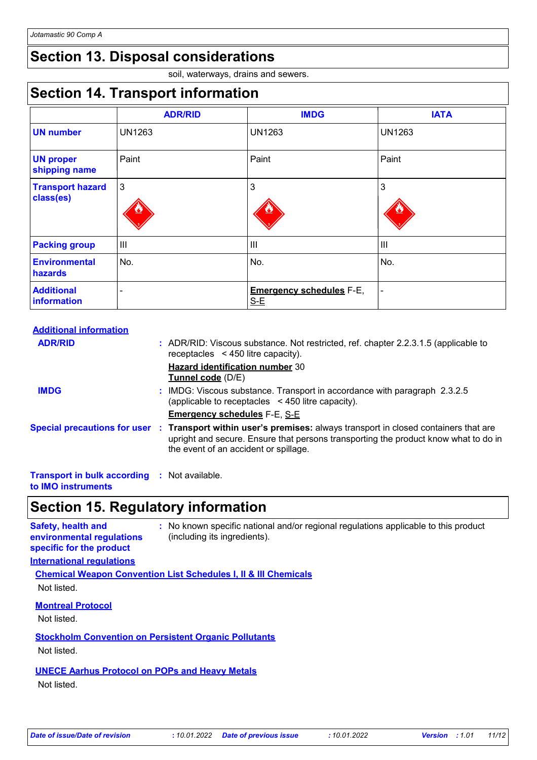## **Section 13. Disposal considerations**

soil, waterways, drains and sewers.

## **Section 14. Transport information**

|                                      | <b>ADR/RID</b> | <b>IMDG</b>                              | <b>IATA</b>    |
|--------------------------------------|----------------|------------------------------------------|----------------|
| <b>UN number</b>                     | <b>UN1263</b>  | <b>UN1263</b>                            | <b>UN1263</b>  |
| <b>UN proper</b><br>shipping name    | Paint          | Paint                                    | Paint          |
| <b>Transport hazard</b><br>class(es) | $\mathbf{3}$   | 3                                        | 3              |
| <b>Packing group</b>                 | $\mathbf{III}$ | III                                      | $\mathbf{III}$ |
| <b>Environmental</b><br>hazards      | No.            | No.                                      | No.            |
| <b>Additional</b><br>information     | -              | <b>Emergency schedules F-E,</b><br>$S-E$ | $\blacksquare$ |

| <b>Additional information</b> |  |                                                                                                                                                                                                                                                 |
|-------------------------------|--|-------------------------------------------------------------------------------------------------------------------------------------------------------------------------------------------------------------------------------------------------|
| <b>ADR/RID</b>                |  | : ADR/RID: Viscous substance. Not restricted, ref. chapter 2.2.3.1.5 (applicable to<br>receptacles $\leq$ 450 litre capacity).                                                                                                                  |
|                               |  | <b>Hazard identification number 30</b><br>Tunnel code (D/E)                                                                                                                                                                                     |
| <b>IMDG</b>                   |  | : IMDG: Viscous substance. Transport in accordance with paragraph 2.3.2.5<br>(applicable to receptacles $\leq$ 450 litre capacity).                                                                                                             |
|                               |  | <b>Emergency schedules F-E, S-E</b>                                                                                                                                                                                                             |
|                               |  | Special precautions for user : Transport within user's premises: always transport in closed containers that are<br>upright and secure. Ensure that persons transporting the product know what to do in<br>the event of an accident or spillage. |
|                               |  |                                                                                                                                                                                                                                                 |

**Transport in bulk according :** Not available. **to IMO instruments**

## **Section 15. Regulatory information**

**Safety, health and environmental regulations specific for the product :** No known specific national and/or regional regulations applicable to this product (including its ingredients). **International regulations Chemical Weapon Convention List Schedules I, II & III Chemicals**

Not listed.

**Montreal Protocol**

Not listed.

**Stockholm Convention on Persistent Organic Pollutants**

Not listed.

### **UNECE Aarhus Protocol on POPs and Heavy Metals**

Not listed.